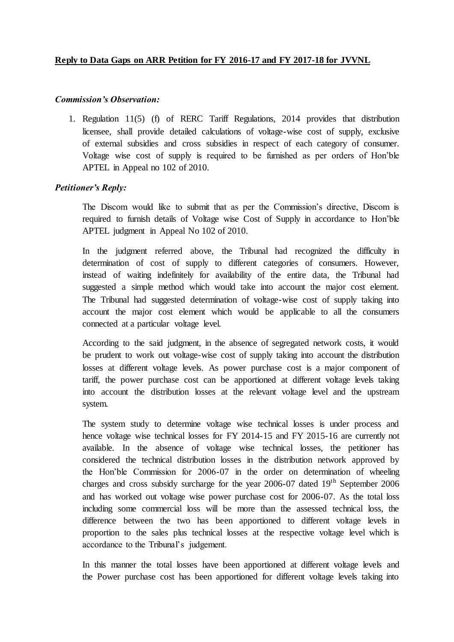1. Regulation 11(5) (f) of RERC Tariff Regulations, 2014 provides that distribution licensee, shall provide detailed calculations of voltage-wise cost of supply, exclusive of external subsidies and cross subsidies in respect of each category of consumer. Voltage wise cost of supply is required to be furnished as per orders of Hon'ble APTEL in Appeal no 102 of 2010.

# *Petitioner's Reply:*

The Discom would like to submit that as per the Commission's directive, Discom is required to furnish details of Voltage wise Cost of Supply in accordance to Hon'ble APTEL judgment in Appeal No 102 of 2010.

In the judgment referred above, the Tribunal had recognized the difficulty in determination of cost of supply to different categories of consumers. However, instead of waiting indefinitely for availability of the entire data, the Tribunal had suggested a simple method which would take into account the major cost element. The Tribunal had suggested determination of voltage-wise cost of supply taking into account the major cost element which would be applicable to all the consumers connected at a particular voltage level.

According to the said judgment, in the absence of segregated network costs, it would be prudent to work out voltage-wise cost of supply taking into account the distribution losses at different voltage levels. As power purchase cost is a major component of tariff, the power purchase cost can be apportioned at different voltage levels taking into account the distribution losses at the relevant voltage level and the upstream system.

The system study to determine voltage wise technical losses is under process and hence voltage wise technical losses for FY 2014-15 and FY 2015-16 are currently not available. In the absence of voltage wise technical losses, the petitioner has considered the technical distribution losses in the distribution network approved by the Hon'ble Commission for 2006-07 in the order on determination of wheeling charges and cross subsidy surcharge for the year 2006-07 dated 19<sup>th</sup> September 2006 and has worked out voltage wise power purchase cost for 2006-07. As the total loss including some commercial loss will be more than the assessed technical loss, the difference between the two has been apportioned to different voltage levels in proportion to the sales plus technical losses at the respective voltage level which is accordance to the Tribunal's judgement.

In this manner the total losses have been apportioned at different voltage levels and the Power purchase cost has been apportioned for different voltage levels taking into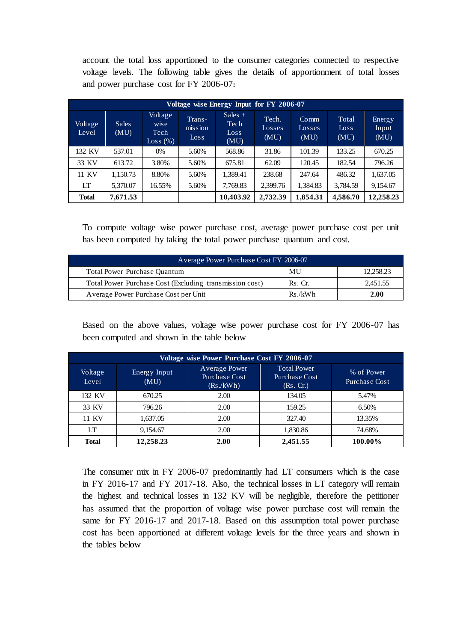account the total loss apportioned to the consumer categories connected to respective voltage levels. The following table gives the details of apportionment of total losses and power purchase cost for FY 2006-07**:** 

| Voltage wise Energy Input for FY 2006-07 |                      |                                     |                           |                                   |                         |                        |                       |                         |
|------------------------------------------|----------------------|-------------------------------------|---------------------------|-----------------------------------|-------------------------|------------------------|-----------------------|-------------------------|
| Voltage<br>Level                         | <b>Sales</b><br>(MU) | Voltage<br>wise<br>Tech<br>Loss (%) | Trans-<br>mission<br>Loss | Sales $+$<br>Tech<br>Loss<br>(MU) | Tech.<br>Losses<br>(MU) | Comm<br>Losses<br>(MU) | Total<br>Loss<br>(MU) | Energy<br>Input<br>(MU) |
| 132 KV                                   | 537.01               | 0%                                  | 5.60%                     | 568.86                            | 31.86                   | 101.39                 | 133.25                | 670.25                  |
| 33 KV                                    | 613.72               | 3.80%                               | 5.60%                     | 675.81                            | 62.09                   | 120.45                 | 182.54                | 796.26                  |
| 11 KV                                    | 1,150.73             | 8.80%                               | 5.60%                     | 1,389.41                          | 238.68                  | 247.64                 | 486.32                | 1,637.05                |
| LT                                       | 5,370.07             | 16.55%                              | 5.60%                     | 7,769.83                          | 2,399.76                | 1,384.83               | 3,784.59              | 9,154.67                |
| <b>Total</b>                             | 7,671.53             |                                     |                           | 10,403.92                         | 2,732.39                | 1,854.31               | 4,586.70              | 12,258.23               |

To compute voltage wise power purchase cost, average power purchase cost per unit has been computed by taking the total power purchase quantum and cost.

| Average Power Purchase Cost FY 2006-07                  |         |           |  |  |
|---------------------------------------------------------|---------|-----------|--|--|
| <b>Total Power Purchase Quantum</b>                     | MU      | 12.258.23 |  |  |
| Total Power Purchase Cost (Excluding transmission cost) | Rs. Cr. | 2.451.55  |  |  |
| Average Power Purchase Cost per Unit                    | Rs./kWh | 2.00      |  |  |

Based on the above values, voltage wise power purchase cost for FY 2006-07 has been computed and shown in the table below

| Voltage wise Power Purchase Cost FY 2006-07 |                      |                                             |                                                         |                             |  |  |
|---------------------------------------------|----------------------|---------------------------------------------|---------------------------------------------------------|-----------------------------|--|--|
| Voltage<br>Level                            | Energy Input<br>(MU) | Average Power<br>Purchase Cost<br>(Rs./kWh) | <b>Total Power</b><br><b>Purchase Cost</b><br>(Rs. Cr.) | % of Power<br>Purchase Cost |  |  |
| 132 KV                                      | 670.25               | 2.00                                        | 134.05                                                  | 5.47%                       |  |  |
| 33 KV                                       | 796.26               | 2.00                                        | 159.25                                                  | 6.50%                       |  |  |
| 11 KV                                       | 1,637.05             | 2.00                                        | 327.40                                                  | 13.35%                      |  |  |
| LT                                          | 9,154.67             | 2.00                                        | 1,830.86                                                | 74.68%                      |  |  |
| <b>Total</b>                                | 12.258.23            | 2.00                                        | 2,451.55                                                | 100.00%                     |  |  |

The consumer mix in FY 2006-07 predominantly had LT consumers which is the case in FY 2016-17 and FY 2017-18. Also, the technical losses in LT category will remain the highest and technical losses in 132 KV will be negligible, therefore the petitioner has assumed that the proportion of voltage wise power purchase cost will remain the same for FY 2016-17 and 2017-18. Based on this assumption total power purchase cost has been apportioned at different voltage levels for the three years and shown in the tables below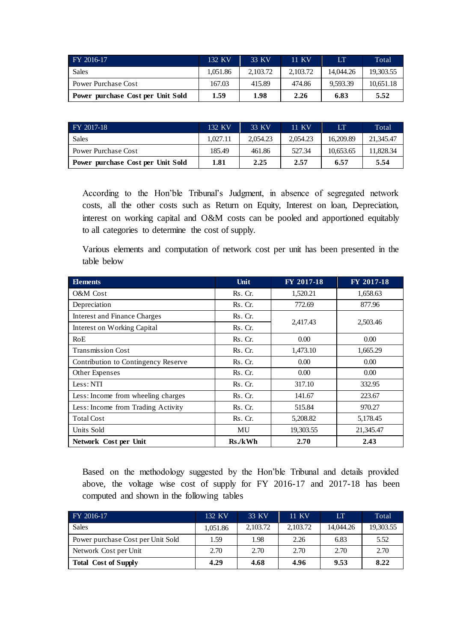| FY 2016-17                        | 132 KV   | 33 KV    | 11 KV    | LТ        | Total     |
|-----------------------------------|----------|----------|----------|-----------|-----------|
| <b>Sales</b>                      | 1.051.86 | 2.103.72 | 2.103.72 | 14.044.26 | 19.303.55 |
| Power Purchase Cost               | 167.03   | 415.89   | 474.86   | 9.593.39  | 10.651.18 |
| Power purchase Cost per Unit Sold | 1.59     | 1.98     | 2.26     | 6.83      | 5.52      |

| FY 2017-18                        | 132 KV   | 33 KV    | 11 KV    | LТ        | Total     |
|-----------------------------------|----------|----------|----------|-----------|-----------|
| Sales                             | 1.027.11 | 2.054.23 | 2.054.23 | 16.209.89 | 21.345.47 |
| Power Purchase Cost               | 185.49   | 461.86   | 527.34   | 10.653.65 | 11.828.34 |
| Power purchase Cost per Unit Sold | 1.81     | 2.25     | 2.57     | 6.57      | 5.54      |

According to the Hon'ble Tribunal's Judgment, in absence of segregated network costs, all the other costs such as Return on Equity, Interest on loan, Depreciation, interest on working capital and O&M costs can be pooled and apportioned equitably to all categories to determine the cost of supply.

Various elements and computation of network cost per unit has been presented in the table below

| <b>Elements</b>                     | Unit    | FY 2017-18 | FY 2017-18 |
|-------------------------------------|---------|------------|------------|
| O&M Cost                            | Rs. Cr. | 1,520.21   | 1,658.63   |
| Depreciation                        | Rs. Cr. | 772.69     | 877.96     |
| <b>Interest and Finance Charges</b> | Rs. Cr. |            |            |
| <b>Interest on Working Capital</b>  | Rs. Cr. | 2,417.43   | 2,503.46   |
| RoE                                 | Rs. Cr. | 0.00       | 0.00       |
| <b>Transmission Cost</b>            | Rs. Cr. | 1,473.10   | 1,665.29   |
| Contribution to Contingency Reserve | Rs. Cr. | 0.00       | 0.00       |
| Other Expenses                      | Rs. Cr. | 0.00       | 0.00       |
| Less: NTI                           | Rs. Cr. | 317.10     | 332.95     |
| Less: Income from wheeling charges  | Rs. Cr. | 141.67     | 223.67     |
| Less: Income from Trading Activity  | Rs. Cr. | 515.84     | 970.27     |
| <b>Total Cost</b>                   | Rs. Cr. | 5,208.82   | 5,178.45   |
| Units Sold                          | MU      | 19,303.55  | 21,345.47  |
| Network Cost per Unit               | Rs./kWh | 2.70       | 2.43       |

Based on the methodology suggested by the Hon'ble Tribunal and details provided above, the voltage wise cost of supply for FY 2016-17 and 2017-18 has been computed and shown in the following tables

| FY 2016-17                        | 132 KV   | 33 KV    | 11 KV    | LТ        | Total     |
|-----------------------------------|----------|----------|----------|-----------|-----------|
| Sales                             | 1.051.86 | 2,103.72 | 2,103.72 | 14,044.26 | 19,303.55 |
| Power purchase Cost per Unit Sold | 1.59     | 1.98     | 2.26     | 6.83      | 5.52      |
| Network Cost per Unit             | 2.70     | 2.70     | 2.70     | 2.70      | 2.70      |
| <b>Total Cost of Supply</b>       | 4.29     | 4.68     | 4.96     | 9.53      | 8.22      |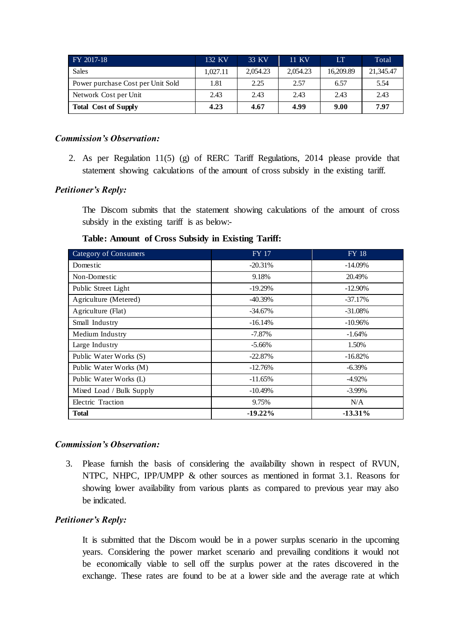| FY 2017-18                        | 132 KV   | 33 KV    | 11 KV    | LT        | Total     |
|-----------------------------------|----------|----------|----------|-----------|-----------|
| <b>Sales</b>                      | 1.027.11 | 2.054.23 | 2.054.23 | 16.209.89 | 21,345.47 |
| Power purchase Cost per Unit Sold | 1.81     | 2.25     | 2.57     | 6.57      | 5.54      |
| Network Cost per Unit             | 2.43     | 2.43     | 2.43     | 2.43      | 2.43      |
| <b>Total Cost of Supply</b>       | 4.23     | 4.67     | 4.99     | 9.00      | 7.97      |

2. As per Regulation 11(5) (g) of RERC Tariff Regulations, 2014 please provide that statement showing calculations of the amount of cross subsidy in the existing tariff.

# *Petitioner's Reply:*

The Discom submits that the statement showing calculations of the amount of cross subsidy in the existing tariff is as below:-

| Category of Consumers    | <b>FY 17</b> | <b>FY 18</b> |
|--------------------------|--------------|--------------|
| Domestic                 | $-20.31\%$   | $-14.09\%$   |
| Non-Domestic             | 9.18%        | 20.49%       |
| Public Street Light      | $-19.29\%$   | $-12.90\%$   |
| Agriculture (Metered)    | $-40.39\%$   | $-37.17\%$   |
| Agriculture (Flat)       | $-34.67\%$   | $-31.08\%$   |
| Small Industry           | $-16.14%$    | $-10.96\%$   |
| Medium Industry          | $-7.87\%$    | $-1.64%$     |
| Large Industry           | $-5.66\%$    | 1.50%        |
| Public Water Works (S)   | $-22.87%$    | $-16.82%$    |
| Public Water Works (M)   | $-12.76%$    | $-6.39\%$    |
| Public Water Works (L)   | $-11.65%$    | $-4.92\%$    |
| Mixed Load / Bulk Supply | $-10.49%$    | $-3.99\%$    |
| Electric Traction        | 9.75%        | N/A          |
| <b>Total</b>             | $-19.22\%$   | $-13.31\%$   |

# **Table: Amount of Cross Subsidy in Existing Tariff:**

### *Commission's Observation:*

3. Please furnish the basis of considering the availability shown in respect of RVUN, NTPC, NHPC, IPP/UMPP & other sources as mentioned in format 3.1. Reasons for showing lower availability from various plants as compared to previous year may also be indicated.

# *Petitioner's Reply:*

It is submitted that the Discom would be in a power surplus scenario in the upcoming years. Considering the power market scenario and prevailing conditions it would not be economically viable to sell off the surplus power at the rates discovered in the exchange. These rates are found to be at a lower side and the average rate at which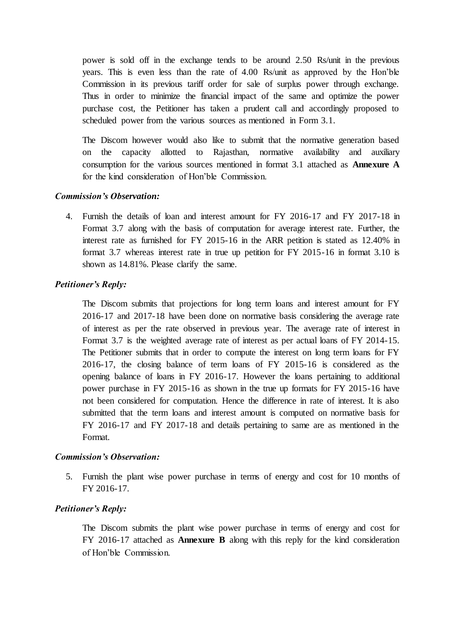power is sold off in the exchange tends to be around 2.50 Rs/unit in the previous years. This is even less than the rate of 4.00 Rs/unit as approved by the Hon'ble Commission in its previous tariff order for sale of surplus power through exchange. Thus in order to minimize the financial impact of the same and optimize the power purchase cost, the Petitioner has taken a prudent call and accordingly proposed to scheduled power from the various sources as mentioned in Form 3.1.

The Discom however would also like to submit that the normative generation based on the capacity allotted to Rajasthan, normative availability and auxiliary consumption for the various sources mentioned in format 3.1 attached as **Annexure A** for the kind consideration of Hon'ble Commission.

### *Commission's Observation:*

4. Furnish the details of loan and interest amount for FY 2016-17 and FY 2017-18 in Format 3.7 along with the basis of computation for average interest rate. Further, the interest rate as furnished for FY 2015-16 in the ARR petition is stated as 12.40% in format 3.7 whereas interest rate in true up petition for FY 2015-16 in format 3.10 is shown as 14.81%. Please clarify the same.

# *Petitioner's Reply:*

The Discom submits that projections for long term loans and interest amount for FY 2016-17 and 2017-18 have been done on normative basis considering the average rate of interest as per the rate observed in previous year. The average rate of interest in Format 3.7 is the weighted average rate of interest as per actual loans of FY 2014-15. The Petitioner submits that in order to compute the interest on long term loans for FY 2016-17, the closing balance of term loans of FY 2015-16 is considered as the opening balance of loans in FY 2016-17. However the loans pertaining to additional power purchase in FY 2015-16 as shown in the true up formats for FY 2015-16 have not been considered for computation. Hence the difference in rate of interest. It is also submitted that the term loans and interest amount is computed on normative basis for FY 2016-17 and FY 2017-18 and details pertaining to same are as mentioned in the Format.

# *Commission's Observation:*

5. Furnish the plant wise power purchase in terms of energy and cost for 10 months of FY 2016-17.

# *Petitioner's Reply:*

The Discom submits the plant wise power purchase in terms of energy and cost for FY 2016-17 attached as **Annexure B** along with this reply for the kind consideration of Hon'ble Commission.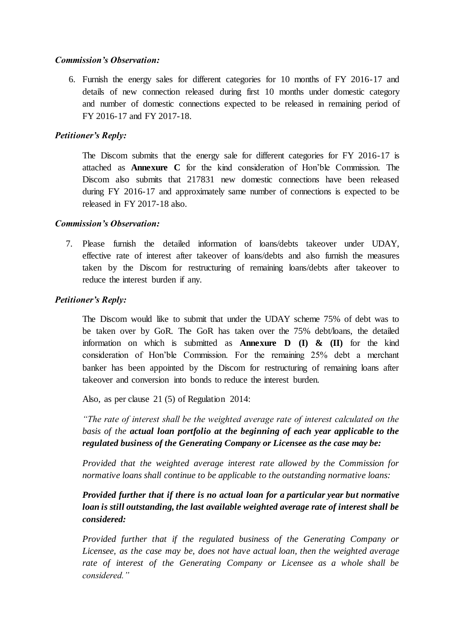6. Furnish the energy sales for different categories for 10 months of FY 2016-17 and details of new connection released during first 10 months under domestic category and number of domestic connections expected to be released in remaining period of FY 2016-17 and FY 2017-18.

# *Petitioner's Reply:*

The Discom submits that the energy sale for different categories for FY 2016-17 is attached as **Annexure C** for the kind consideration of Hon'ble Commission. The Discom also submits that 217831 new domestic connections have been released during FY 2016-17 and approximately same number of connections is expected to be released in FY 2017-18 also.

# *Commission's Observation:*

7. Please furnish the detailed information of loans/debts takeover under UDAY, effective rate of interest after takeover of loans/debts and also furnish the measures taken by the Discom for restructuring of remaining loans/debts after takeover to reduce the interest burden if any.

# *Petitioner's Reply:*

The Discom would like to submit that under the UDAY scheme 75% of debt was to be taken over by GoR. The GoR has taken over the 75% debt/loans, the detailed information on which is submitted as **Annexure D (I) & (II)** for the kind consideration of Hon'ble Commission. For the remaining 25% debt a merchant banker has been appointed by the Discom for restructuring of remaining loans after takeover and conversion into bonds to reduce the interest burden.

Also, as per clause 21 (5) of Regulation 2014:

*"The rate of interest shall be the weighted average rate of interest calculated on the basis of the actual loan portfolio at the beginning of each year applicable to the regulated business of the Generating Company or Licensee as the case may be:*

*Provided that the weighted average interest rate allowed by the Commission for normative loans shall continue to be applicable to the outstanding normative loans:*

*Provided further that if there is no actual loan for a particular year but normative loan is still outstanding, the last available weighted average rate of interest shall be considered:*

*Provided further that if the regulated business of the Generating Company or Licensee, as the case may be, does not have actual loan, then the weighted average rate of interest of the Generating Company or Licensee as a whole shall be considered."*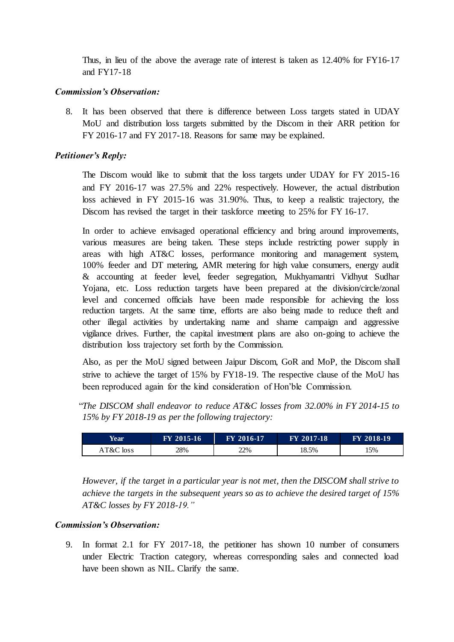Thus, in lieu of the above the average rate of interest is taken as 12.40% for FY16-17 and FY17-18

# *Commission's Observation:*

8. It has been observed that there is difference between Loss targets stated in UDAY MoU and distribution loss targets submitted by the Discom in their ARR petition for FY 2016-17 and FY 2017-18. Reasons for same may be explained.

# *Petitioner's Reply:*

The Discom would like to submit that the loss targets under UDAY for FY 2015-16 and FY 2016-17 was 27.5% and 22% respectively. However, the actual distribution loss achieved in FY 2015-16 was 31.90%. Thus, to keep a realistic trajectory, the Discom has revised the target in their taskforce meeting to 25% for FY 16-17.

In order to achieve envisaged operational efficiency and bring around improvements, various measures are being taken. These steps include restricting power supply in areas with high AT&C losses, performance monitoring and management system, 100% feeder and DT metering, AMR metering for high value consumers, energy audit & accounting at feeder level, feeder segregation, Mukhyamantri Vidhyut Sudhar Yojana, etc. Loss reduction targets have been prepared at the division/circle/zonal level and concerned officials have been made responsible for achieving the loss reduction targets. At the same time, efforts are also being made to reduce theft and other illegal activities by undertaking name and shame campaign and aggressive vigilance drives. Further, the capital investment plans are also on-going to achieve the distribution loss trajectory set forth by the Commission.

Also, as per the MoU signed between Jaipur Discom, GoR and MoP, the Discom shall strive to achieve the target of 15% by FY18-19. The respective clause of the MoU has been reproduced again for the kind consideration of Hon'ble Commission.

"*The DISCOM shall endeavor to reduce AT&C losses from 32.00% in FY 2014-15 to 15% by FY 2018-19 as per the following trajectory:* 

| <b>Year</b> | FY 2015-16 | FY 2016-17 | <b>FY 2017-18</b> | <b>FY 2018-19</b> |
|-------------|------------|------------|-------------------|-------------------|
| AT&C loss   | 28%        | 22%        | 18.5%             | 15%               |

*However, if the target in a particular year is not met, then the DISCOM shall strive to achieve the targets in the subsequent years so as to achieve the desired target of 15% AT&C losses by FY 2018-19."*

# *Commission's Observation:*

9. In format 2.1 for FY 2017-18, the petitioner has shown 10 number of consumers under Electric Traction category, whereas corresponding sales and connected load have been shown as NIL. Clarify the same.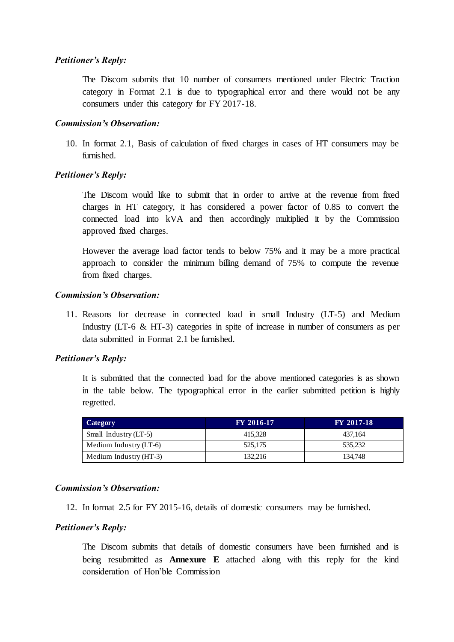### *Petitioner's Reply:*

The Discom submits that 10 number of consumers mentioned under Electric Traction category in Format 2.1 is due to typographical error and there would not be any consumers under this category for FY 2017-18.

#### *Commission's Observation:*

10. In format 2.1, Basis of calculation of fixed charges in cases of HT consumers may be furnished.

# *Petitioner's Reply:*

The Discom would like to submit that in order to arrive at the revenue from fixed charges in HT category, it has considered a power factor of 0.85 to convert the connected load into kVA and then accordingly multiplied it by the Commission approved fixed charges.

However the average load factor tends to below 75% and it may be a more practical approach to consider the minimum billing demand of 75% to compute the revenue from fixed charges.

#### *Commission's Observation:*

11. Reasons for decrease in connected load in small Industry (LT-5) and Medium Industry (LT-6 & HT-3) categories in spite of increase in number of consumers as per data submitted in Format 2.1 be furnished.

# *Petitioner's Reply:*

It is submitted that the connected load for the above mentioned categories is as shown in the table below. The typographical error in the earlier submitted petition is highly regretted.

| Category               | <b>FY 2016-17</b> | <b>FY 2017-18</b> |
|------------------------|-------------------|-------------------|
| Small Industry (LT-5)  | 415.328           | 437.164           |
| Medium Industry (LT-6) | 525,175           | 535.232           |
| Medium Industry (HT-3) | 132.216           | 134,748           |

# *Commission's Observation:*

12. In format 2.5 for FY 2015-16, details of domestic consumers may be furnished.

# *Petitioner's Reply:*

The Discom submits that details of domestic consumers have been furnished and is being resubmitted as **Annexure E** attached along with this reply for the kind consideration of Hon'ble Commission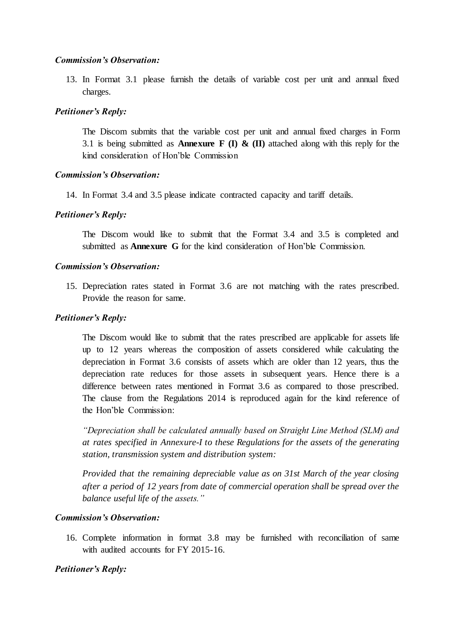13. In Format 3.1 please furnish the details of variable cost per unit and annual fixed charges.

# *Petitioner's Reply:*

The Discom submits that the variable cost per unit and annual fixed charges in Form 3.1 is being submitted as **Annexure F (I) & (II)** attached along with this reply for the kind consideration of Hon'ble Commission

# *Commission's Observation:*

14. In Format 3.4 and 3.5 please indicate contracted capacity and tariff details.

# *Petitioner's Reply:*

The Discom would like to submit that the Format 3.4 and 3.5 is completed and submitted as **Annexure G** for the kind consideration of Hon'ble Commission.

# *Commission's Observation:*

15. Depreciation rates stated in Format 3.6 are not matching with the rates prescribed. Provide the reason for same.

# *Petitioner's Reply:*

The Discom would like to submit that the rates prescribed are applicable for assets life up to 12 years whereas the composition of assets considered while calculating the depreciation in Format 3.6 consists of assets which are older than 12 years, thus the depreciation rate reduces for those assets in subsequent years. Hence there is a difference between rates mentioned in Format 3.6 as compared to those prescribed. The clause from the Regulations 2014 is reproduced again for the kind reference of the Hon'ble Commission:

*"Depreciation shall be calculated annually based on Straight Line Method (SLM) and at rates specified in Annexure-I to these Regulations for the assets of the generating station, transmission system and distribution system:*

*Provided that the remaining depreciable value as on 31st March of the year closing after a period of 12 years from date of commercial operation shall be spread over the balance useful life of the assets."*

# *Commission's Observation:*

16. Complete information in format 3.8 may be furnished with reconciliation of same with audited accounts for FY 2015-16.

# *Petitioner's Reply:*